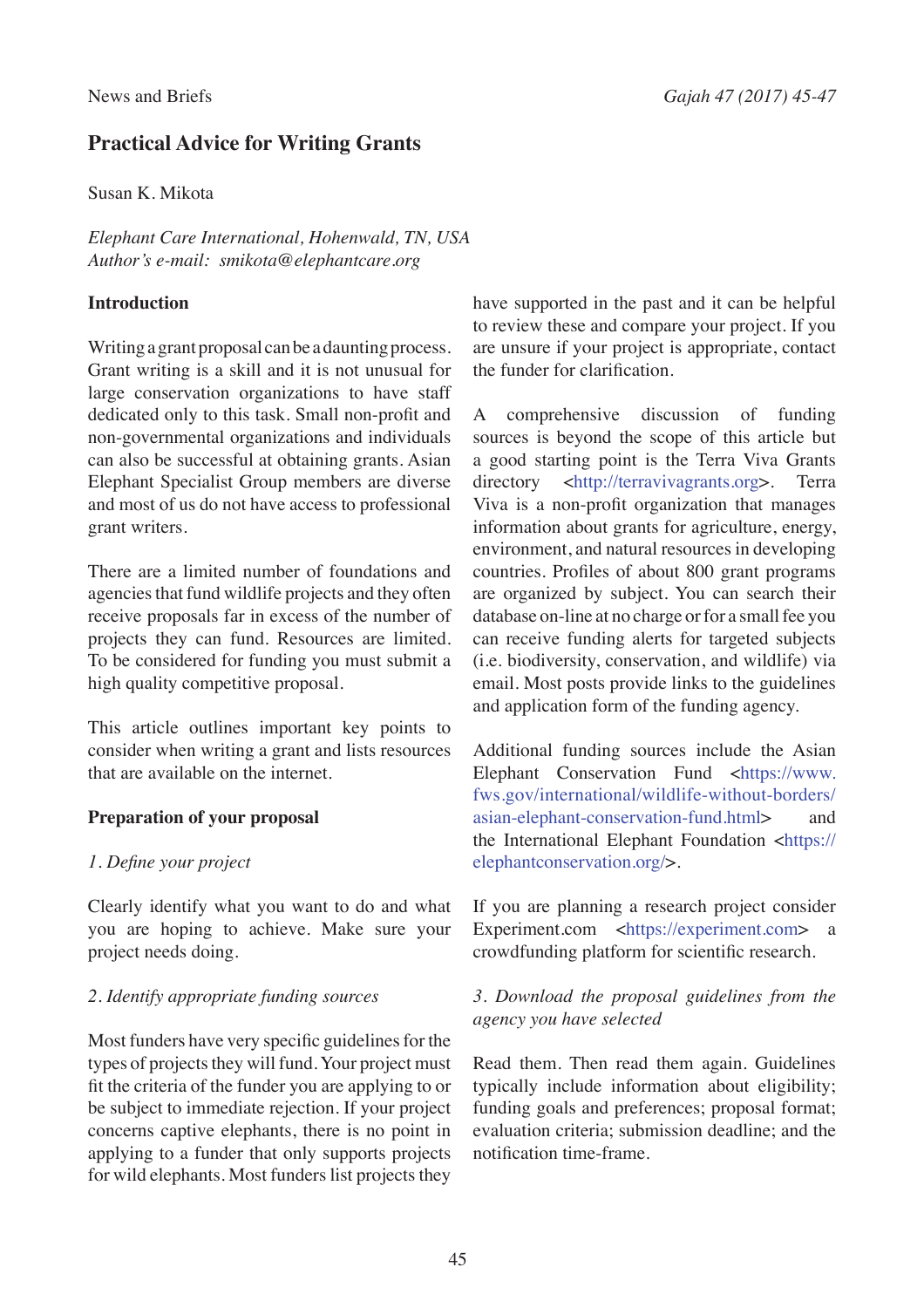# **Practical Advice for Writing Grants**

Susan K. Mikota

*Elephant Care International, Hohenwald, TN, USA Author's e-mail: smikota@elephantcare.org*

# **Introduction**

Writing a grant proposal can be a daunting process. Grant writing is a skill and it is not unusual for large conservation organizations to have staff dedicated only to this task. Small non-proft and non-governmental organizations and individuals can also be successful at obtaining grants. Asian Elephant Specialist Group members are diverse and most of us do not have access to professional grant writers.

There are a limited number of foundations and agencies that fund wildlife projects and they often receive proposals far in excess of the number of projects they can fund. Resources are limited. To be considered for funding you must submit a high quality competitive proposal.

This article outlines important key points to consider when writing a grant and lists resources that are available on the internet.

# **Preparation of your proposal**

# *1. Defne your project*

Clearly identify what you want to do and what you are hoping to achieve. Make sure your project needs doing.

# *2. Identify appropriate funding sources*

Most funders have very specifc guidelines for the types of projects they will fund. Your project must ft the criteria of the funder you are applying to or be subject to immediate rejection. If your project concerns captive elephants, there is no point in applying to a funder that only supports projects for wild elephants. Most funders list projects they have supported in the past and it can be helpful to review these and compare your project. If you are unsure if your project is appropriate, contact the funder for clarifcation.

A comprehensive discussion of funding sources is beyond the scope of this article but a good starting point is the Terra Viva Grants directory <http://terravivagrants.org>. Terra Viva is a non-proft organization that manages information about grants for agriculture, energy, environment, and natural resources in developing countries. Profles of about 800 grant programs are organized by subject. You can search their database on-line at no charge or for a small fee you can receive funding alerts for targeted subjects (i.e. biodiversity, conservation, and wildlife) via email. Most posts provide links to the guidelines and application form of the funding agency.

Additional funding sources include the Asian Elephant Conservation Fund <https://www. fws.gov/international/wildlife-without-borders/ asian-elephant-conservation-fund.html> and the International Elephant Foundation <https:// elephantconservation.org/>.

If you are planning a research project consider Experiment.com <https://experiment.com> a crowdfunding platform for scientifc research.

# *3. Download the proposal guidelines from the agency you have selected*

Read them. Then read them again. Guidelines typically include information about eligibility; funding goals and preferences; proposal format; evaluation criteria; submission deadline; and the notifcation time-frame.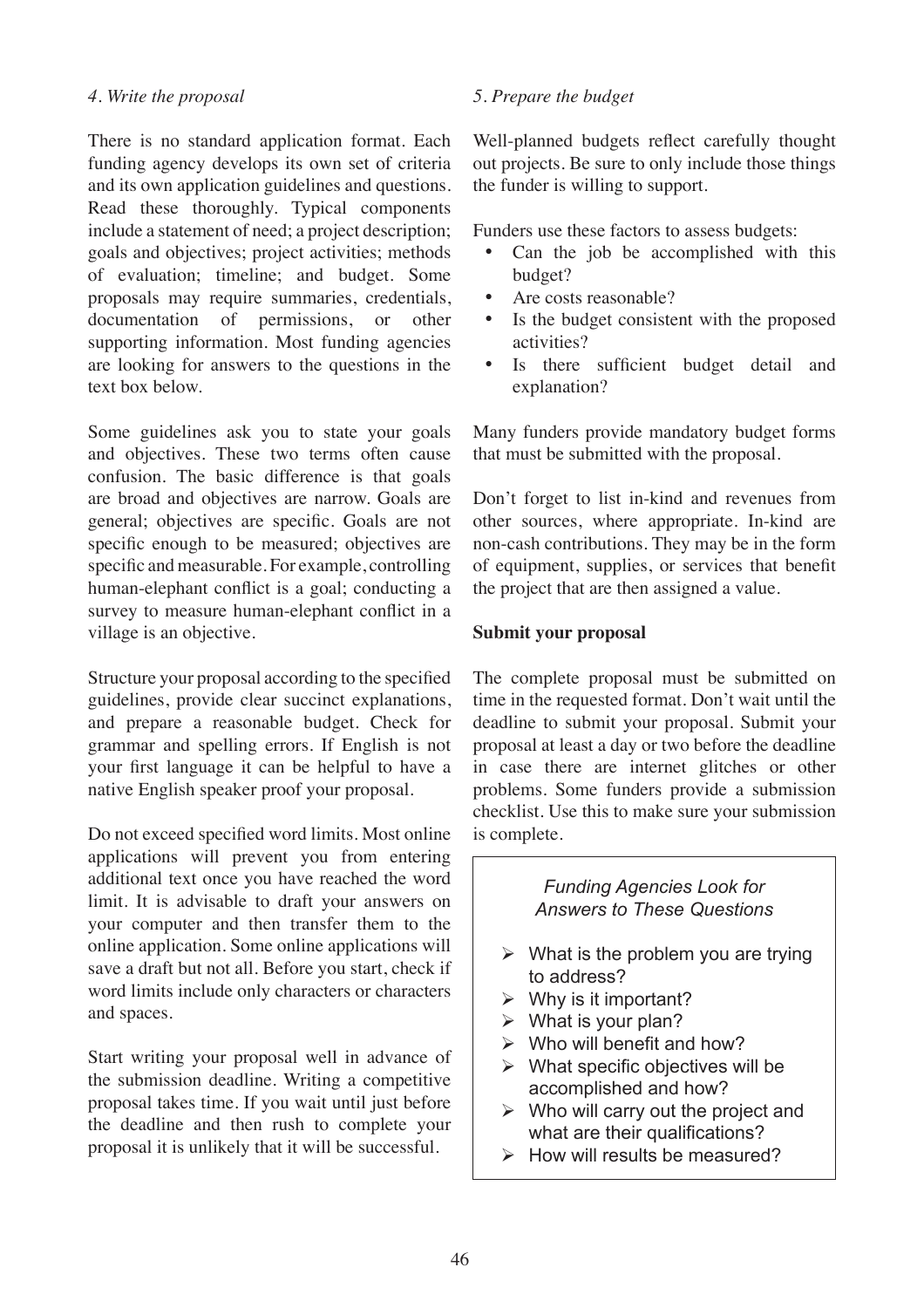#### *4. Write the proposal*

There is no standard application format. Each funding agency develops its own set of criteria and its own application guidelines and questions. Read these thoroughly. Typical components include a statement of need; a project description; goals and objectives; project activities; methods of evaluation; timeline; and budget. Some proposals may require summaries, credentials, documentation of permissions, or other supporting information. Most funding agencies are looking for answers to the questions in the text box below.

Some guidelines ask you to state your goals and objectives. These two terms often cause confusion. The basic difference is that goals are broad and objectives are narrow. Goals are general; objectives are specifc. Goals are not specifc enough to be measured; objectives are specifc and measurable. For example, controlling human-elephant confict is a goal; conducting a survey to measure human-elephant confict in a village is an objective.

Structure your proposal according to the specifed guidelines, provide clear succinct explanations, and prepare a reasonable budget. Check for grammar and spelling errors. If English is not your frst language it can be helpful to have a native English speaker proof your proposal.

Do not exceed specifed word limits. Most online applications will prevent you from entering additional text once you have reached the word limit. It is advisable to draft your answers on your computer and then transfer them to the online application. Some online applications will save a draft but not all. Before you start, check if word limits include only characters or characters and spaces.

Start writing your proposal well in advance of the submission deadline. Writing a competitive proposal takes time. If you wait until just before the deadline and then rush to complete your proposal it is unlikely that it will be successful.

# *5. Prepare the budget*

Well-planned budgets refect carefully thought out projects. Be sure to only include those things the funder is willing to support.

Funders use these factors to assess budgets:

- Can the job be accomplished with this budget?
- Are costs reasonable?
- Is the budget consistent with the proposed activities?
- Is there sufficient budget detail and explanation?

Many funders provide mandatory budget forms that must be submitted with the proposal.

Don't forget to list in-kind and revenues from other sources, where appropriate. In-kind are non-cash contributions. They may be in the form of equipment, supplies, or services that beneft the project that are then assigned a value.

# **Submit your proposal**

The complete proposal must be submitted on time in the requested format. Don't wait until the deadline to submit your proposal. Submit your proposal at least a day or two before the deadline in case there are internet glitches or other problems. Some funders provide a submission checklist. Use this to make sure your submission is complete.

# *Funding Agencies Look for Answers to These Questions*

- $\triangleright$  What is the problem you are trying to address?
- $\triangleright$  Why is it important?
- $\triangleright$  What is your plan?
- $\triangleright$  Who will benefit and how?
- $\triangleright$  What specific objectives will be accomplished and how?
- $\triangleright$  Who will carry out the project and what are their qualifications?
- $\triangleright$  How will results be measured?